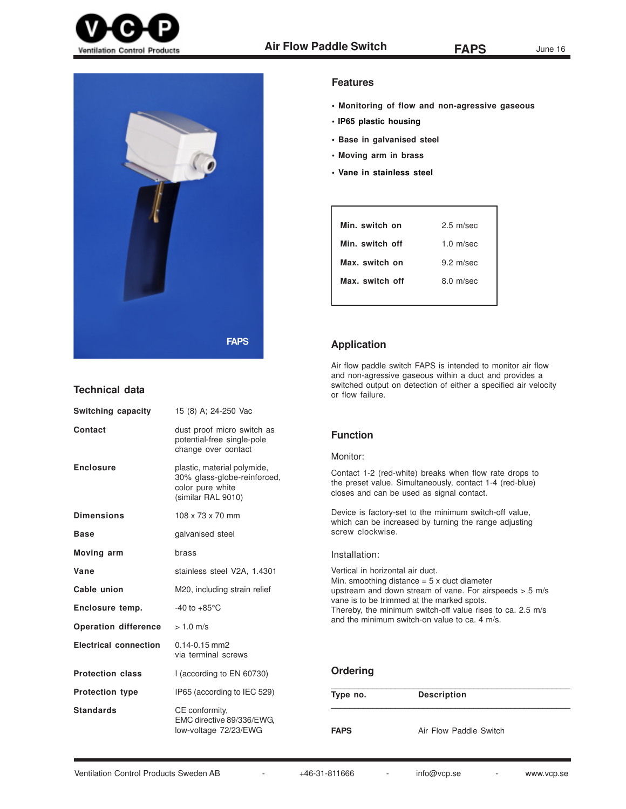



# **Technical data**

| Switching capacity           | 15 (8) A; 24-250 Vac                                                                                 |
|------------------------------|------------------------------------------------------------------------------------------------------|
| Contact                      | dust proof micro switch as<br>potential-free single-pole<br>change over contact                      |
| <b>Enclosure</b>             | plastic, material polymide,<br>30% glass-globe-reinforced,<br>color pure white<br>(similar RAL 9010) |
| <b>Dimensions</b>            | 108 x 73 x 70 mm                                                                                     |
| <b>Base</b>                  | galvanised steel                                                                                     |
| Moving arm                   | brass                                                                                                |
| Vane                         | stainless steel V2A, 1.4301                                                                          |
| Cable union                  | M20, including strain relief                                                                         |
| Enclosure temp.              | $-40$ to $+85^{\circ}$ C                                                                             |
| <b>Operation difference</b>  | $> 1.0$ m/s                                                                                          |
| <b>Electrical connection</b> | $0.14 - 0.15$ mm2<br>via terminal screws                                                             |
| <b>Protection class</b>      | I (according to EN 60730)                                                                            |
| <b>Protection type</b>       | IP65 (according to IEC 529)                                                                          |
| <b>Standards</b>             | CE conformity.<br>EMC directive 89/336/EWG,<br>low-voltage 72/23/EWG                                 |

## **Features**

- **Monitoring of flow and non-agressive gaseous**
- **IP65 plastic housing**
- **Base in galvanised steel**
- **Moving arm in brass**
- **Vane in stainless steel**

| Min. switch on  | $2.5 \text{ m/sec}$   |
|-----------------|-----------------------|
| Min. switch off | $1.0 \text{ m/sec}$   |
| Max. switch on  | $9.2 \text{ m/sec}$   |
| Max. switch off | $8.0 \, \text{m/sec}$ |
|                 |                       |

## **Application**

Air flow paddle switch FAPS is intended to monitor air flow and non-agressive gaseous within a duct and provides a switched output on detection of either a specified air velocity or flow failure.

# **Function**

### Monitor:

Contact 1-2 (red-white) breaks when flow rate drops to the preset value. Simultaneously, contact 1-4 (red-blue) closes and can be used as signal contact.

Device is factory-set to the minimum switch-off value, which can be increased by turning the range adjusting screw clockwise.

#### Installation:

Vertical in horizontal air duct. Min. smoothing distance  $= 5 \times$  duct diameter upstream and down stream of vane. For airspeeds > 5 m/s vane is to be trimmed at the marked spots. Thereby, the minimum switch-off value rises to ca. 2.5 m/s and the minimum switch-on value to ca. 4 m/s.

# **Ordering**

| Type no.    | <b>Description</b>     |  |
|-------------|------------------------|--|
| <b>FAPS</b> | Air Flow Paddle Switch |  |